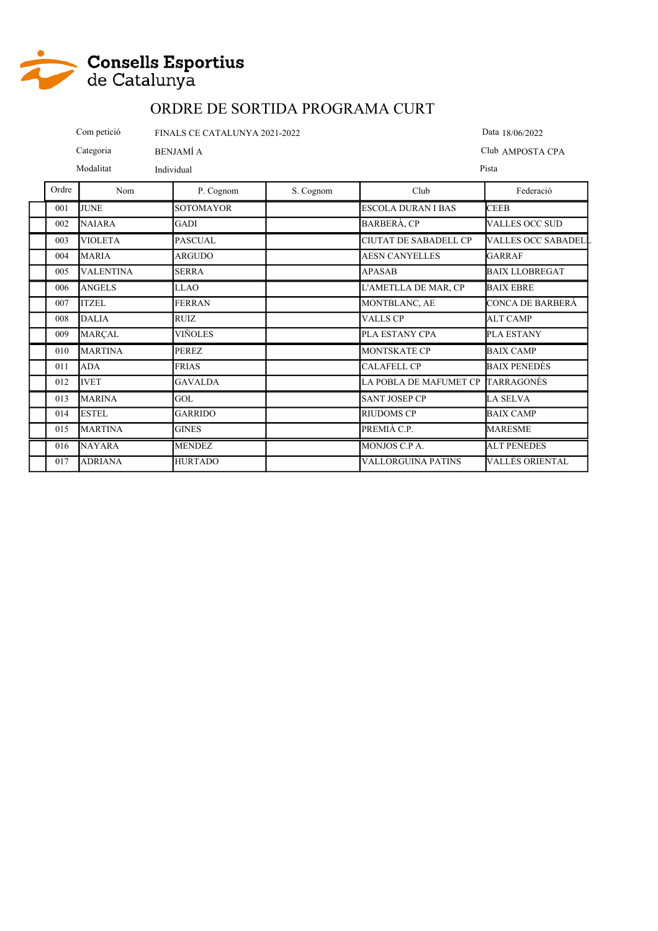

Com petició FINALS CE CATALUNYA 2021-2022

Categoria BENJAMÍ A

Modalitat Individual

Data 18/06/2022 Club AMPOSTA CPA

Pista

| Ordre | Nom              | P. Cognom        | S. Cognom | Club                         | Federació                  |
|-------|------------------|------------------|-----------|------------------------------|----------------------------|
| 001   | <b>JUNE</b>      | <b>SOTOMAYOR</b> |           | ESCOLA DURAN I BAS           | <b>CEEB</b>                |
| 002   | <b>NAIARA</b>    | GADI             |           | BARBERÀ, CP                  | <b>VALLES OCC SUD</b>      |
| 003   | <b>VIOLETA</b>   | <b>PASCUAL</b>   |           | <b>CIUTAT DE SABADELL CP</b> | <b>VALLES OCC SABADELL</b> |
| 004   | <b>MARIA</b>     | ARGUDO           |           | <b>AESN CANYELLES</b>        | <b>GARRAF</b>              |
| 005   | <b>VALENTINA</b> | <b>SERRA</b>     |           | <b>APASAB</b>                | <b>BAIX LLOBREGAT</b>      |
| 006   | <b>ANGELS</b>    | <b>LLAO</b>      |           | L'AMETLLA DE MAR, CP         | <b>BAIX EBRE</b>           |
| 007   | <b>ITZEL</b>     | <b>FERRAN</b>    |           | MONTBLANC, AE                | CONCA DE BARBERÀ           |
| 008   | <b>DALIA</b>     | <b>RUIZ</b>      |           | <b>VALLS CP</b>              | <b>ALT CAMP</b>            |
| 009   | <b>MARÇAL</b>    | VIÑOLES          |           | PLA ESTANY CPA               | <b>PLA ESTANY</b>          |
| 010   | <b>MARTINA</b>   | <b>PEREZ</b>     |           | <b>MONTSKATE CP</b>          | <b>BAIX CAMP</b>           |
| 011   | ADA              | <b>FRIAS</b>     |           | <b>CALAFELL CP</b>           | BAIX PENEDÈS               |
| 012   | <b>IVET</b>      | <b>GAVALDA</b>   |           | LA POBLA DE MAFUMET CP       | TARRAGONÈS                 |
| 013   | <b>MARINA</b>    | GOL              |           | <b>SANT JOSEP CP</b>         | <b>LA SELVA</b>            |
| 014   | <b>ESTEL</b>     | <b>GARRIDO</b>   |           | <b>RIUDOMS CP</b>            | <b>BAIX CAMP</b>           |
| 015   | <b>MARTINA</b>   | <b>GINES</b>     |           | PREMIÀ C.P.                  | <b>MARESME</b>             |
| 016   | <b>NAYARA</b>    | <b>MENDEZ</b>    |           | MONJOS C.P A.                | <b>ALT PENEDES</b>         |
| 017   | <b>ADRIANA</b>   | <b>HURTADO</b>   |           | <b>VALLORGUINA PATINS</b>    | VALLÈS ORIENTAL            |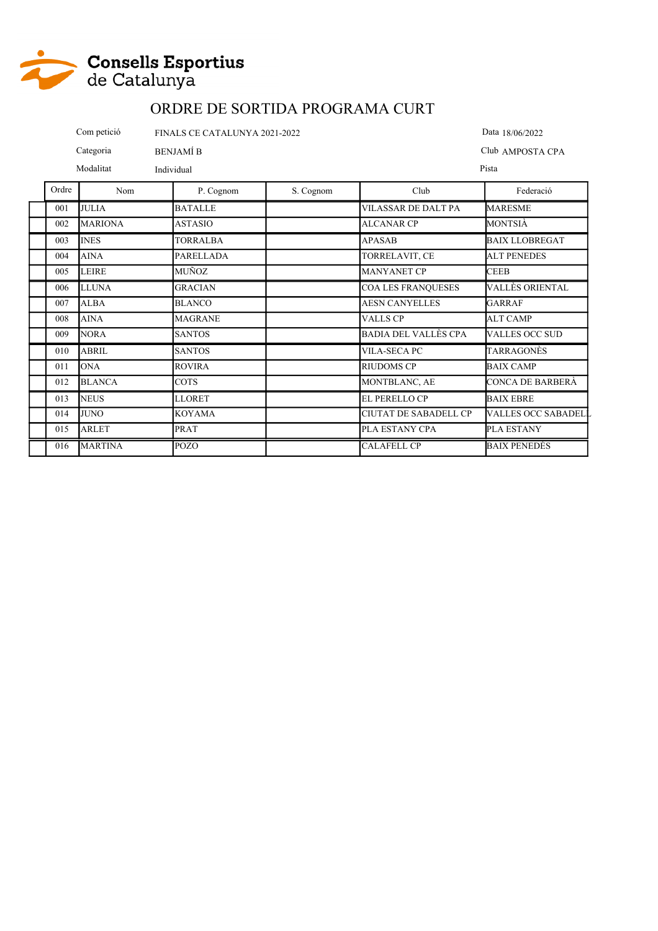

Categoria BENJAMÍ B Com petició FINALS CE CATALUNYA 2021-2022 Data 18/06/2022 Club AMPOSTA CPA

Modalitat Individual

Pista

| Ordre | Nom            | P. Cognom        | S. Cognom | Club                         | Federació             |
|-------|----------------|------------------|-----------|------------------------------|-----------------------|
| 001   | <b>JULIA</b>   | <b>BATALLE</b>   |           | <b>VILASSAR DE DALT PA</b>   | <b>MARESME</b>        |
| 002   | <b>MARIONA</b> | <b>ASTASIO</b>   |           | <b>ALCANAR CP</b>            | MONTSIÀ               |
| 003   | <b>INES</b>    | <b>TORRALBA</b>  |           | <b>APASAB</b>                | <b>BAIX LLOBREGAT</b> |
| 004   | <b>AINA</b>    | <b>PARELLADA</b> |           | TORRELAVIT, CE               | <b>ALT PENEDES</b>    |
| 005   | <b>LEIRE</b>   | MUÑOZ            |           | <b>MANYANET CP</b>           | <b>CEEB</b>           |
| 006   | <b>LLUNA</b>   | <b>GRACIAN</b>   |           | <b>COA LES FRANQUESES</b>    | VALLÈS ORIENTAL       |
| 007   | <b>ALBA</b>    | <b>BLANCO</b>    |           | <b>AESN CANYELLES</b>        | <b>GARRAF</b>         |
| 008   | <b>AINA</b>    | <b>MAGRANE</b>   |           | <b>VALLS CP</b>              | <b>ALT CAMP</b>       |
| 009   | <b>NORA</b>    | <b>SANTOS</b>    |           | BADIA DEL VALLÈS CPA         | <b>VALLES OCC SUD</b> |
| 010   | <b>ABRIL</b>   | <b>SANTOS</b>    |           | <b>VILA-SECA PC</b>          | TARRAGONÈS            |
| 011   | <b>ONA</b>     | <b>ROVIRA</b>    |           | <b>RIUDOMS CP</b>            | <b>BAIX CAMP</b>      |
| 012   | <b>BLANCA</b>  | <b>COTS</b>      |           | MONTBLANC, AE                | CONCA DE BARBERÀ      |
| 013   | <b>NEUS</b>    | <b>LLORET</b>    |           | <b>EL PERELLO CP</b>         | <b>BAIX EBRE</b>      |
| 014   | <b>JUNO</b>    | <b>KOYAMA</b>    |           | <b>CIUTAT DE SABADELL CP</b> | VALLES OCC SABADELL   |
| 015   | <b>ARLET</b>   | PRAT             |           | PLA ESTANY CPA               | <b>PLA ESTANY</b>     |
| 016   | <b>MARTINA</b> | <b>POZO</b>      |           | <b>CALAFELL CP</b>           | <b>BAIX PENEDÈS</b>   |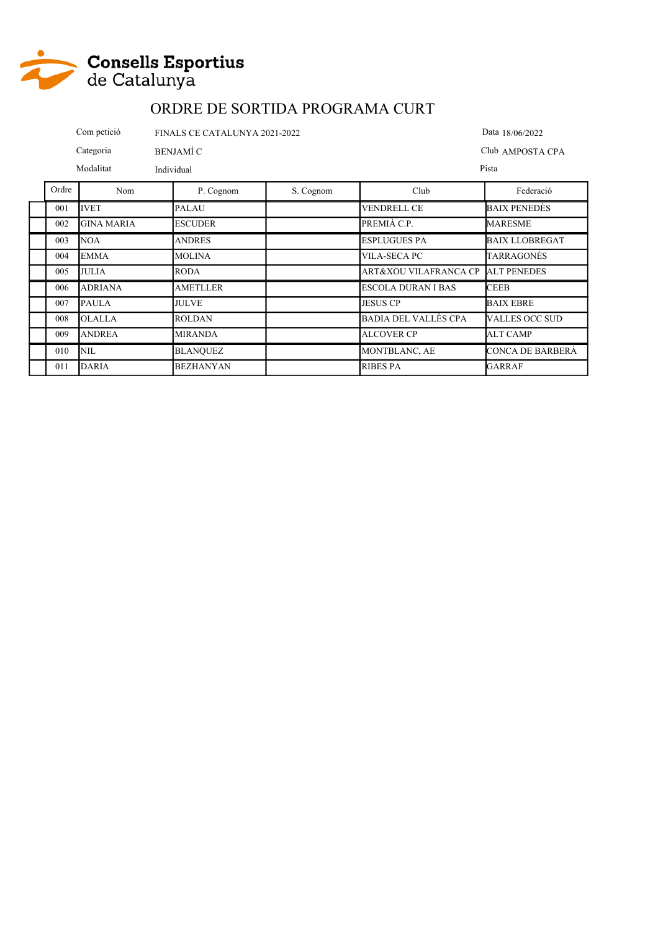

|       | Com petició<br>FINALS CE CATALUNYA 2021-2022 |                  |           |                     | Data 18/06/2022       |
|-------|----------------------------------------------|------------------|-----------|---------------------|-----------------------|
|       | Categoria                                    | <b>BENJAMÍ C</b> |           |                     | Club AMPOSTA CPA      |
|       | Modalitat                                    | Individual       |           |                     | Pista                 |
| Ordre | Nom                                          | P. Cognom        | S. Cognom | Club                | Federació             |
| 001   | <b>IVET</b>                                  | <b>PALAU</b>     |           | <b>VENDRELL CE</b>  | <b>BAIX PENEDES</b>   |
| 002   | <b>GINA MARIA</b>                            | <b>ESCUDER</b>   |           | PREMIÀ C.P.         | <b>MARESME</b>        |
| 003   | <b>NOA</b>                                   | <b>ANDRES</b>    |           | <b>ESPLUGUES PA</b> | <b>BAIX LLOBREGAT</b> |
| 004   | <b>EMMA</b>                                  | <b>MOLINA</b>    |           | VILA-SECA PC        | TARRAGONÈS            |

| $(1)$ (1) 4 | IEMMA          | IMOLINA          | IVILA-SECA PC-                    | TARRAGONES            |
|-------------|----------------|------------------|-----------------------------------|-----------------------|
| 005         | <b>JULIA</b>   | <b>RODA</b>      | ART&XOU VILAFRANCA CP ALT PENEDES |                       |
| 006         | <b>ADRIANA</b> | AMETLLER         | <b>ESCOLA DURAN I BAS</b>         | <b>CEEB</b>           |
| 007         | <b>PAULA</b>   | <b>JULVE</b>     | <b>JESUS CP</b>                   | <b>BAIX EBRE</b>      |
| 008         | <b>OLALLA</b>  | <b>ROLDAN</b>    | <b>BADIA DEL VALLÈS CPA</b>       | <b>VALLES OCC SUD</b> |
| 009         | <b>ANDREA</b>  | <b>MIRANDA</b>   | <b>ALCOVER CP</b>                 | ALT CAMP              |
| 010         | NIL.           | <b>BLANOUEZ</b>  | <b>MONTBLANC, AE</b>              | CONCA DE BARBERA      |
| 011         | <b>DARIA</b>   | <b>BEZHANYAN</b> | <b>RIBES PA</b>                   | GARRAF                |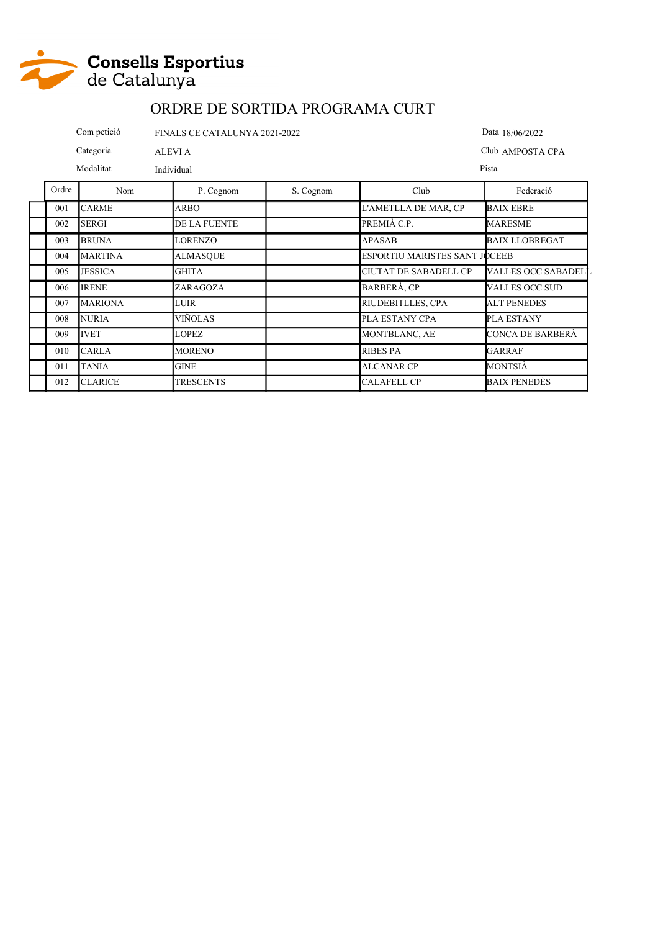

|       | Com petició<br>FINALS CE CATALUNYA 2021-2022 |              |           |                      | Data 18/06/2022       |
|-------|----------------------------------------------|--------------|-----------|----------------------|-----------------------|
|       | Categoria<br>ALEVI A                         |              |           |                      | Club AMPOSTA CPA      |
|       | Modalitat                                    | Individual   |           |                      | Pista                 |
| Ordre | Nom                                          | P. Cognom    | S. Cognom | Club                 | Federació             |
| 001   | <b>CARME</b>                                 | <b>ARBO</b>  |           | L'AMETLLA DE MAR, CP | <b>BAIX EBRE</b>      |
| 002   | <b>SERGI</b>                                 | DE LA FUENTE |           | PREMIÀ C.P.          | <b>MARESME</b>        |
| 003   | <b>BRUNA</b>                                 | LORENZO      |           | <b>APASAB</b>        | <b>BAIX LLOBREGAT</b> |

| 003 | <b>BRUNA</b>   | <b>LORENZO</b>   | <b>APASAB</b>                        | <b>BAIX LLOBREGAT</b>      |
|-----|----------------|------------------|--------------------------------------|----------------------------|
| 004 | <b>MARTINA</b> | <b>ALMASQUE</b>  | <b>ESPORTIU MARISTES SANT JOCEEB</b> |                            |
| 005 | <b>JESSICA</b> | <b>GHITA</b>     | CIUTAT DE SABADELL CP                | <b>VALLES OCC SABADELL</b> |
| 006 | <b>IRENE</b>   | ZARAGOZA         | <b>BARBERÀ, CP</b>                   | <b>VALLES OCC SUD</b>      |
| 007 | <b>MARIONA</b> | <b>LUIR</b>      | RIUDEBITLLES, CPA                    | <b>ALT PENEDES</b>         |
| 008 | <b>NURIA</b>   | VIÑOLAS          | PLA ESTANY CPA                       | PLA ESTANY                 |
| 009 | <b>IVET</b>    | <b>LOPEZ</b>     | MONTBLANC, AE                        | CONCA DE BARBERA           |
| 010 | <b>CARLA</b>   | <b>MORENO</b>    | <b>RIBES PA</b>                      | GARRAF                     |
| 011 | <b>TANIA</b>   | <b>GINE</b>      | <b>ALCANAR CP</b>                    | MONTSIÀ                    |
| 012 | <b>CLARICE</b> | <b>TRESCENTS</b> | <b>CALAFELL CP</b>                   | BAIX PENEDÈS               |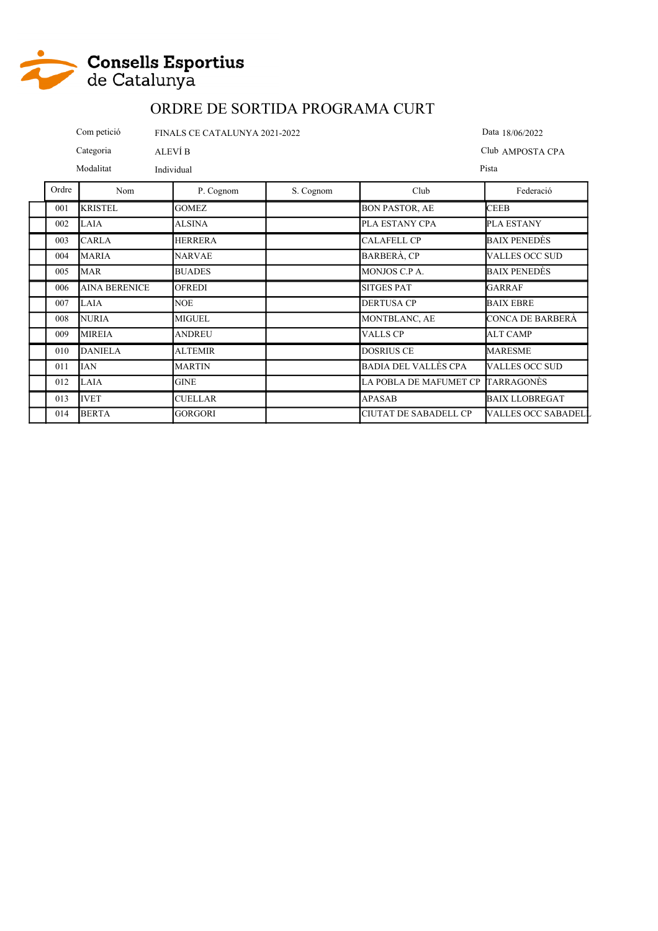

|                      | Com petició         | FINALS CE CATALUNYA 2021-2022 |           |                                                         | Data 18/06/2022  |
|----------------------|---------------------|-------------------------------|-----------|---------------------------------------------------------|------------------|
|                      | Categoria           | ALEVÍ B                       |           |                                                         | Club AMPOSTA CPA |
| Modalitat            |                     | Individual                    |           |                                                         | Pista            |
| Ordre                | Nom                 | P. Cognom                     | S. Cognom | Club                                                    | Federació        |
| $\sim$ $\sim$ $\sim$ | <b>TYPE TARRITY</b> | $\sim$ $\sim$ $\sim$ $\sim$   |           | $\sim$ $\sim$ $\sim$ $\sim$ $\sim$ $\sim$ $\sim$ $\sim$ | $-$              |

| 001 | <b>KRISTEL</b>       | <b>GOMEZ</b>   | <b>BON PASTOR, AE</b>        | <b>CEEB</b>                |
|-----|----------------------|----------------|------------------------------|----------------------------|
| 002 | LAIA                 | <b>ALSINA</b>  | PLA ESTANY CPA               | <b>PLA ESTANY</b>          |
| 003 | <b>CARLA</b>         | <b>HERRERA</b> | <b>CALAFELL CP</b>           | BAIX PENEDÈS               |
| 004 | <b>MARIA</b>         | <b>NARVAE</b>  | <b>BARBERÀ, CP</b>           | <b>VALLES OCC SUD</b>      |
| 005 | <b>MAR</b>           | <b>BUADES</b>  | MONJOS C.P A.                | <b>BAIX PENEDÈS</b>        |
| 006 | <b>AINA BERENICE</b> | <b>OFREDI</b>  | <b>SITGES PAT</b>            | <b>GARRAF</b>              |
| 007 | LAIA                 | <b>NOE</b>     | <b>DERTUSA CP</b>            | <b>BAIX EBRE</b>           |
| 008 | <b>NURIA</b>         | <b>MIGUEL</b>  | <b>MONTBLANC, AE</b>         | CONCA DE BARBERA           |
| 009 | <b>MIREIA</b>        | <b>ANDREU</b>  | <b>VALLS CP</b>              | <b>ALT CAMP</b>            |
| 010 | <b>DANIELA</b>       | <b>ALTEMIR</b> | <b>DOSRIUS CE</b>            | <b>MARESME</b>             |
| 011 | <b>IAN</b>           | <b>MARTIN</b>  | <b>BADIA DEL VALLÈS CPA</b>  | <b>VALLES OCC SUD</b>      |
| 012 | LAIA                 | <b>GINE</b>    | LA POBLA DE MAFUMET CP       | <b>TARRAGONÈS</b>          |
| 013 | <b>IVET</b>          | <b>CUELLAR</b> | <b>APASAB</b>                | <b>BAIX LLOBREGAT</b>      |
| 014 | <b>BERTA</b>         | <b>GORGORI</b> | <b>CIUTAT DE SABADELL CP</b> | <b>VALLES OCC SABADELL</b> |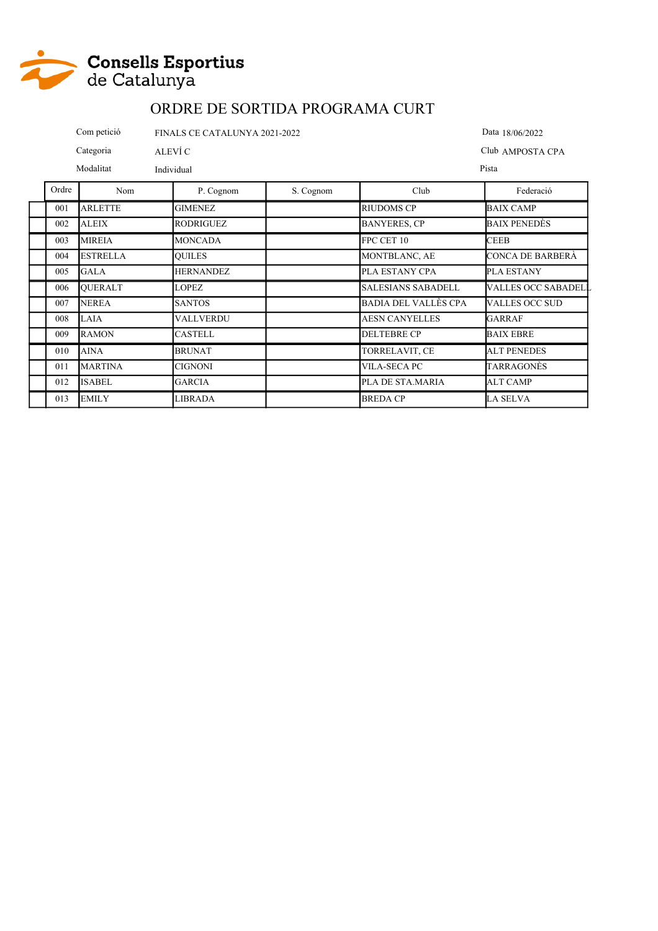

|       | Com petició     | FINALS CE CATALUNYA 2021-2022 |           |                           | Data 18/06/2022       |
|-------|-----------------|-------------------------------|-----------|---------------------------|-----------------------|
|       | Categoria       | ALEVÍ C                       |           |                           | Club AMPOSTA CPA      |
|       | Modalitat       | Individual                    |           |                           | Pista                 |
| Ordre | Nom             | P. Cognom                     | S. Cognom | Club                      | Federació             |
| 001   | <b>ARLETTE</b>  | <b>GIMENEZ</b>                |           | <b>RIUDOMS CP</b>         | <b>BAIX CAMP</b>      |
| 002   | <b>ALEIX</b>    | <b>RODRIGUEZ</b>              |           | <b>BANYERES, CP</b>       | BAIX PENEDÈS          |
| 003   | <b>MIREIA</b>   | <b>MONCADA</b>                |           | FPC CET 10                | <b>CEEB</b>           |
| 004   | <b>ESTRELLA</b> | <b>OUILES</b>                 |           | MONTBLANC, AE             | CONCA DE BARBERÀ      |
| 005   | <b>GALA</b>     | <b>HERNANDEZ</b>              |           | PLA ESTANY CPA            | PLA ESTANY            |
| 006   | <b>OUERALT</b>  | <b>LOPEZ</b>                  |           | <b>SALESIANS SABADELL</b> | VALLES OCC SABADELL   |
| 007   | <b>NEREA</b>    | <b>SANTOS</b>                 |           | BADIA DEL VALLÈS CPA      | <b>VALLES OCC SUD</b> |
| 008   | LAIA            | <b>VALLVERDU</b>              |           | <b>AESN CANYELLES</b>     | GARRAF                |
| 009   | <b>RAMON</b>    | <b>CASTELL</b>                |           | <b>DELTEBRE CP</b>        | <b>BAIX EBRE</b>      |
| 010   | <b>AINA</b>     | <b>BRUNAT</b>                 |           | TORRELAVIT, CE            | <b>ALT PENEDES</b>    |
| 011   | <b>MARTINA</b>  | <b>CIGNONI</b>                |           | <b>VILA-SECA PC</b>       | TARRAGONÈS            |

012 ISABEL GARCIA PLA DE STA.MARIA ALT CAMP 013 EMILY LIBRADA (LIBRADA BREDA CP LA SELVA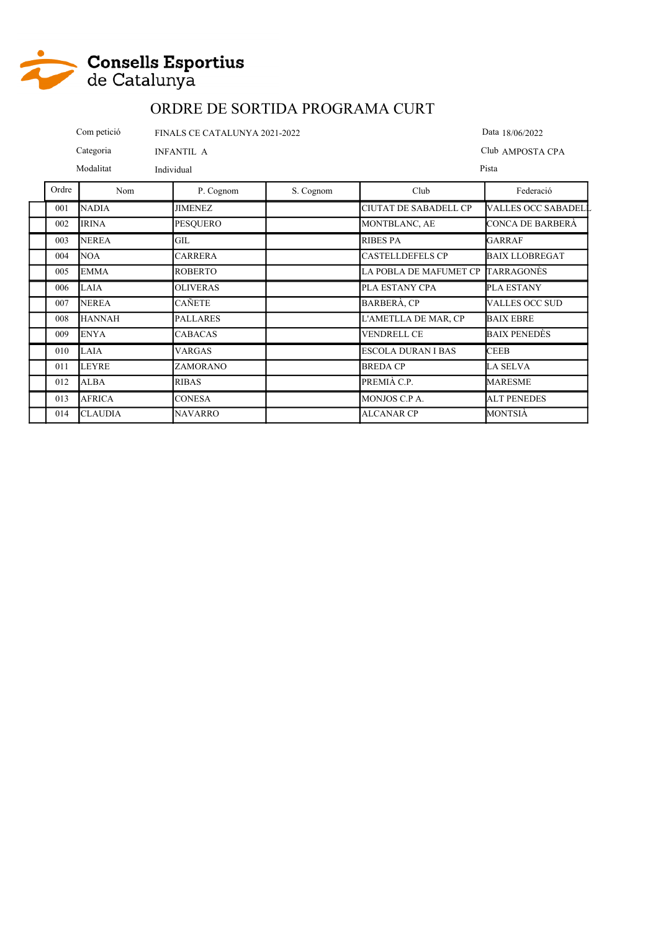

 $\mathbf{r}$ 

#### ORDRE DE SORTIDA PROGRAMA CURT

Com petició FINALS CE CATALUNYA 2021-2022 Data 18/06/2022 Categoria INFANTIL A Club AMPOSTA CPA Modalitat Individual Pista T

٦

| Ordre | Nom            | P. Cognom       | S. Cognom | Club                         | Federació                  |
|-------|----------------|-----------------|-----------|------------------------------|----------------------------|
| 001   | <b>NADIA</b>   | JIMENEZ         |           | <b>CIUTAT DE SABADELL CP</b> | <b>VALLES OCC SABADELL</b> |
| 002   | <b>IRINA</b>   | <b>PESOUERO</b> |           | MONTBLANC, AE                | CONCA DE BARBERÀ           |
| 003   | <b>NEREA</b>   | GIL             |           | <b>RIBES PA</b>              | <b>GARRAF</b>              |
| 004   | <b>NOA</b>     | CARRERA         |           | <b>CASTELLDEFELS CP</b>      | <b>BAIX LLOBREGAT</b>      |
| 005   | <b>EMMA</b>    | <b>ROBERTO</b>  |           | LA POBLA DE MAFUMET CP       | <b>TARRAGONÈS</b>          |
| 006   | <b>LAIA</b>    | <b>OLIVERAS</b> |           | PLA ESTANY CPA               | PLA ESTANY                 |
| 007   | <b>NEREA</b>   | CAÑETE          |           | BARBERÀ, CP                  | VALLES OCC SUD             |
| 008   | <b>HANNAH</b>  | <b>PALLARES</b> |           | L'AMETLLA DE MAR, CP         | <b>BAIX EBRE</b>           |
| 009   | <b>ENYA</b>    | CABACAS         |           | <b>VENDRELL CE</b>           | BAIX PENEDÈS               |
| 010   | <b>LAIA</b>    | VARGAS          |           | <b>ESCOLA DURAN I BAS</b>    | <b>CEEB</b>                |
| 011   | <b>LEYRE</b>   | ZAMORANO        |           | <b>BREDA CP</b>              | LA SELVA                   |
| 012   | ALBA           | <b>RIBAS</b>    |           | PREMIÀ C.P.                  | <b>MARESME</b>             |
| 013   | <b>AFRICA</b>  | <b>CONESA</b>   |           | MONJOS C.P A.                | <b>ALT PENEDES</b>         |
| 014   | <b>CLAUDIA</b> | <b>NAVARRO</b>  |           | <b>ALCANAR CP</b>            | MONTSIÀ                    |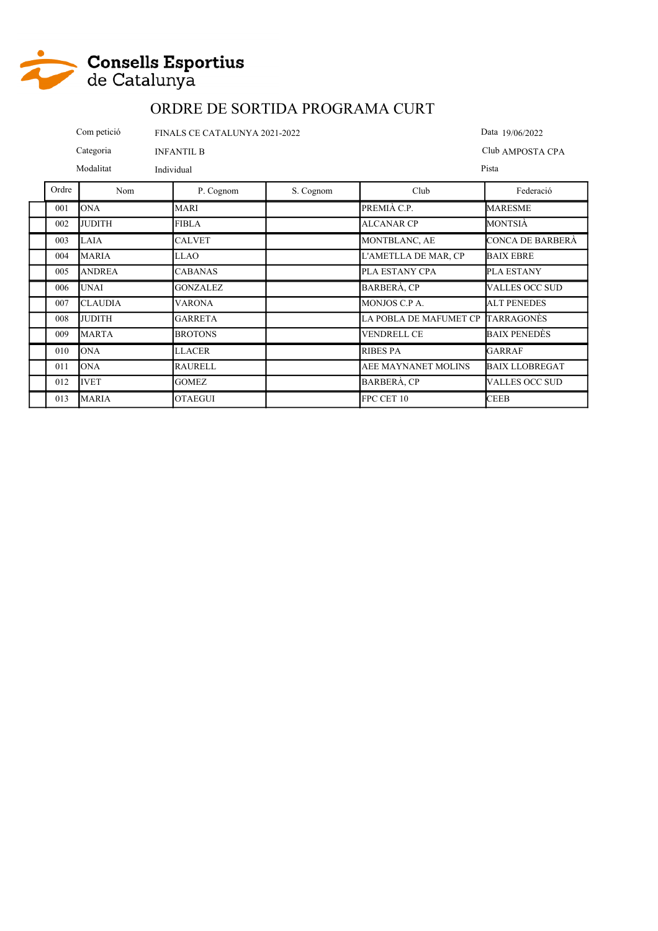

|                                | Com petició<br>FINALS CE CATALUNYA 2021-2022 |            |           |                  | Data 19/06/2022 |
|--------------------------------|----------------------------------------------|------------|-----------|------------------|-----------------|
| Categoria<br><b>INFANTIL B</b> |                                              |            |           | Club AMPOSTA CPA |                 |
| Modalitat                      |                                              | Individual |           |                  | Pista           |
| Ordre                          | Nom                                          | P. Cognom  | S. Cognom | Club             | Federació       |
|                                |                                              |            |           |                  |                 |

| 001 | <b>ONA</b>     | <b>MARI</b>     | PREMIÀ C.P.            | <b>MARESME</b>        |
|-----|----------------|-----------------|------------------------|-----------------------|
| 002 | <b>JUDITH</b>  | <b>FIBLA</b>    | <b>ALCANAR CP</b>      | <b>MONTSIÀ</b>        |
| 003 | LAIA           | <b>CALVET</b>   | MONTBLANC, AE          | CONCA DE BARBERÀ      |
| 004 | <b>MARIA</b>   | <b>LLAO</b>     | L'AMETLLA DE MAR, CP   | <b>BAIX EBRE</b>      |
| 005 | <b>ANDREA</b>  | <b>CABANAS</b>  | PLA ESTANY CPA         | <b>PLA ESTANY</b>     |
| 006 | <b>UNAI</b>    | <b>GONZALEZ</b> | <b>BARBERÀ, CP</b>     | <b>VALLES OCC SUD</b> |
| 007 | <b>CLAUDIA</b> | <b>VARONA</b>   | MONJOS C.P A.          | <b>ALT PENEDES</b>    |
| 008 | <b>JUDITH</b>  | <b>GARRETA</b>  | LA POBLA DE MAFUMET CP | TARRAGONÈS            |
| 009 | <b>MARTA</b>   | <b>BROTONS</b>  | <b>VENDRELL CE</b>     | <b>BAIX PENEDÈS</b>   |
| 010 | <b>ONA</b>     | <b>LLACER</b>   | RIBES PA               | GARRAF                |
| 011 | <b>ONA</b>     | <b>RAURELL</b>  | AEE MAYNANET MOLINS    | <b>BAIX LLOBREGAT</b> |
| 012 | <b>IVET</b>    | <b>GOMEZ</b>    | BARBERÀ, CP            | <b>VALLES OCC SUD</b> |
| 013 | <b>MARIA</b>   | <b>OTAEGUI</b>  | FPC CET 10             | <b>CEEB</b>           |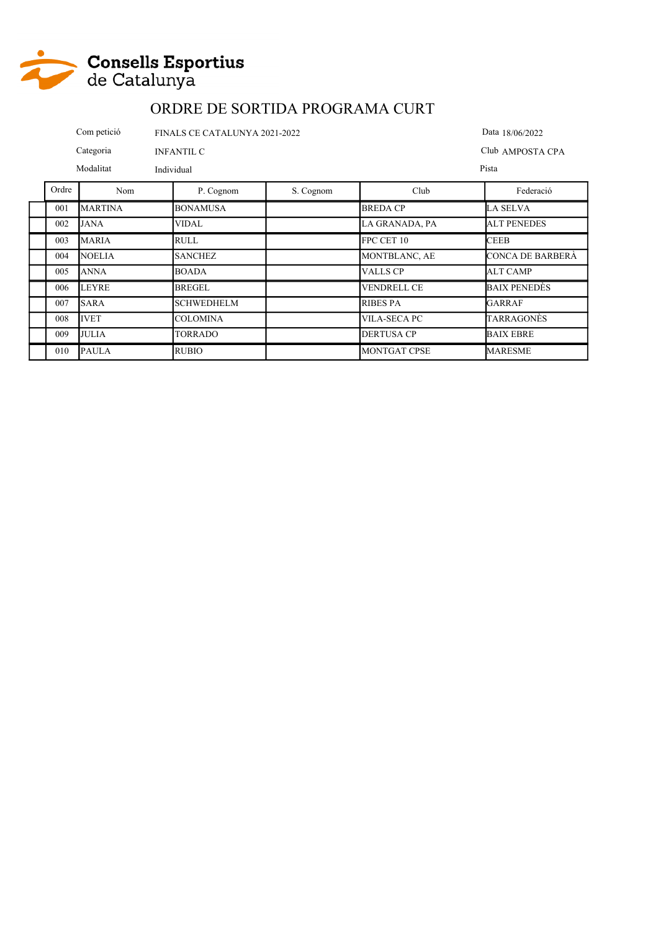

|                                | Com petició<br>FINALS CE CATALUNYA 2021-2022 | Data 18/06/2022 |           |                  |                    |
|--------------------------------|----------------------------------------------|-----------------|-----------|------------------|--------------------|
| Categoria<br><b>INFANTIL C</b> |                                              |                 |           | Club AMPOSTA CPA |                    |
| Modalitat<br>Individual        |                                              |                 |           | Pista            |                    |
| Ordre                          | Nom                                          | P. Cognom       | S. Cognom | Club             | Federació          |
| 001                            | <b>MARTINA</b>                               | <b>BONAMUSA</b> |           | <b>BREDA CP</b>  | LA SELVA           |
| 002                            | <b>JANA</b>                                  | <b>VIDAL</b>    |           | LA GRANADA, PA   | <b>ALT PENEDES</b> |
| 003                            | <b>MARIA</b>                                 | <b>RULL</b>     |           | FPC CET 10       | <b>CEEB</b>        |

004 NOELIA SANCHEZ MONTBLANC, AE CONCA DE BARBERÀ

005 ANNA BOADA BOADA VALLS CP ALT CAMP 006 LEYRE BREGEL I VENDRELL CE BAIX PENEDÈS 007 SARA SCHWEDHELM RIBES PA GARRAF 008 IVET COLOMINA COLOMINA VILA-SECA PC TARRAGONÈS 009 JULIA TORRADO DERTUSA CP BAIX EBRE 010 PAULA RUBIO MONTGAT CPSE MARESME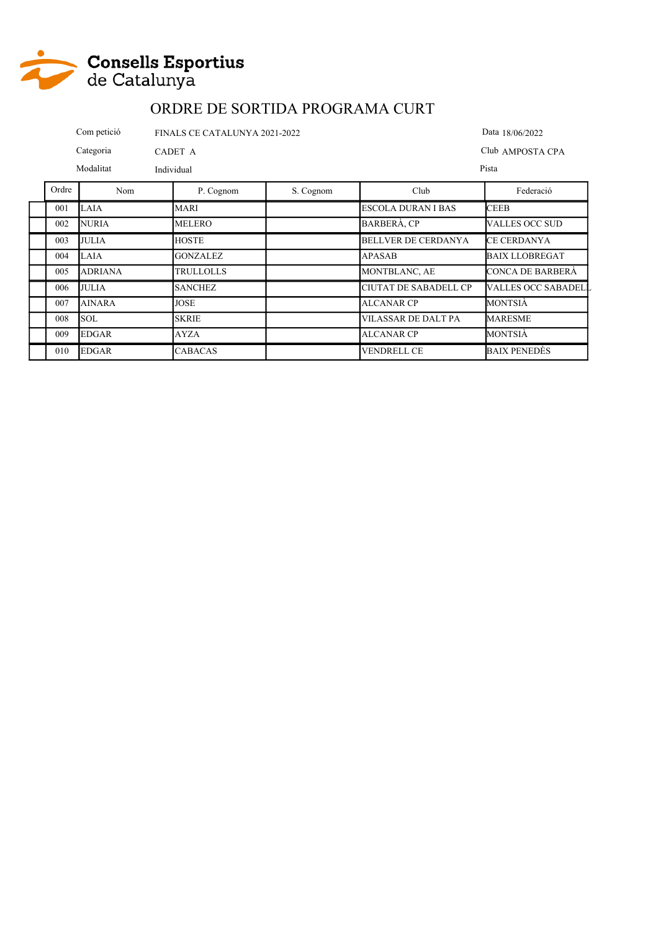

|       | Com petició  |                 | FINALS CE CATALUNYA 2021-2022<br>Data 18/06/2022 |                            |                       |  |
|-------|--------------|-----------------|--------------------------------------------------|----------------------------|-----------------------|--|
|       | Categoria    | CADET A         |                                                  |                            | Club AMPOSTA CPA      |  |
|       | Modalitat    | Individual      | Pista                                            |                            |                       |  |
| Ordre | Nom          | P. Cognom       | S. Cognom                                        | Club                       | Federació             |  |
| 001   | LAIA         | MARI            |                                                  | <b>ESCOLA DURAN I BAS</b>  | <b>CEEB</b>           |  |
| 002   | <b>NURIA</b> | <b>MELERO</b>   |                                                  | <b>BARBERA, CP</b>         | <b>VALLES OCC SUD</b> |  |
| 003   | <b>JULIA</b> | <b>HOSTE</b>    |                                                  | <b>BELLVER DE CERDANYA</b> | <b>CE CERDANYA</b>    |  |
| 004   | LAIA         | <b>GONZALEZ</b> |                                                  | <b>APASAB</b>              | <b>BAIX LLOBREGAT</b> |  |

| 003 | <b>JULIA</b>   | <b>HOSTE</b>     | BELLVER DE CERDANYA          | <b>CE CERDANYA</b>         |
|-----|----------------|------------------|------------------------------|----------------------------|
| 004 | <b>LAIA</b>    | <b>GONZALEZ</b>  | APASAB                       | <b>BAIX LLOBREGAT</b>      |
| 005 | <b>ADRIANA</b> | <b>TRULLOLLS</b> | MONTBLANC, AE                | CONCA DE BARBERA           |
| 006 | <b>JULIA</b>   | <b>SANCHEZ</b>   | <b>CIUTAT DE SABADELL CP</b> | <b>VALLES OCC SABADELL</b> |
| 007 | <b>AINARA</b>  | <b>JOSE</b>      | ALCANAR CP                   | MONTSIÀ                    |
| 008 | <b>SOL</b>     | <b>SKRIE</b>     | <b>VILASSAR DE DALT PA</b>   | <b>MARESME</b>             |
| 009 | <b>EDGAR</b>   | <b>AYZA</b>      | ALCANAR CP                   | MONTSIÀ                    |
| 010 | <b>EDGAR</b>   | <b>CABACAS</b>   | <b>VENDRELL CE</b>           | <b>BAIX PENEDES</b>        |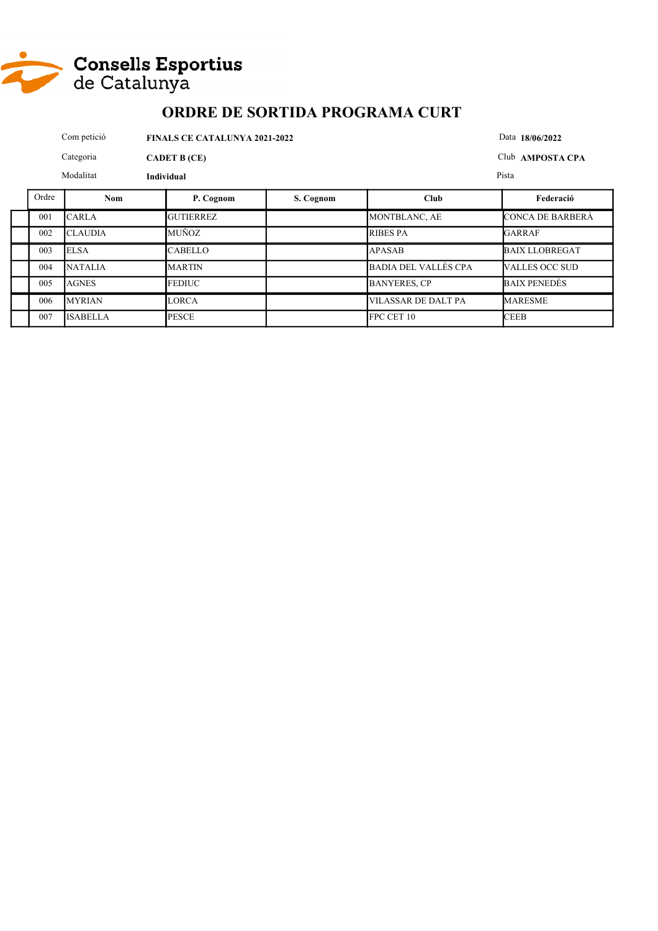

|       | Com petició     | Data 18/06/2022  |           |                             |                       |
|-------|-----------------|------------------|-----------|-----------------------------|-----------------------|
|       | Categoria       | Club AMPOSTA CPA |           |                             |                       |
|       | Modalitat       |                  | Pista     |                             |                       |
| Ordre | <b>Nom</b>      | P. Cognom        | S. Cognom | Club                        | Federació             |
| 001   | <b>CARLA</b>    | <b>GUTIERREZ</b> |           | MONTBLANC, AE               | CONCA DE BARBERÀ      |
| 002   | <b>CLAUDIA</b>  | <b>MUÑOZ</b>     |           | <b>RIBES PA</b>             | <b>GARRAF</b>         |
| 003   | <b>ELSA</b>     | <b>CABELLO</b>   |           | <b>APASAB</b>               | <b>BAIX LLOBREGAT</b> |
| 004   | <b>NATALIA</b>  | <b>MARTIN</b>    |           | <b>BADIA DEL VALLÈS CPA</b> | VALLES OCC SUD        |
| 005   | <b>AGNES</b>    | <b>FEDIUC</b>    |           | <b>BANYERES, CP</b>         | <b>BAIX PENEDES</b>   |
| 006   | <b>MYRIAN</b>   | <b>LORCA</b>     |           | <b>VILASSAR DE DALT PA</b>  | <b>MARESME</b>        |
| 007   | <b>ISABELLA</b> | <b>PESCE</b>     |           | FPC CET 10                  | <b>CEEB</b>           |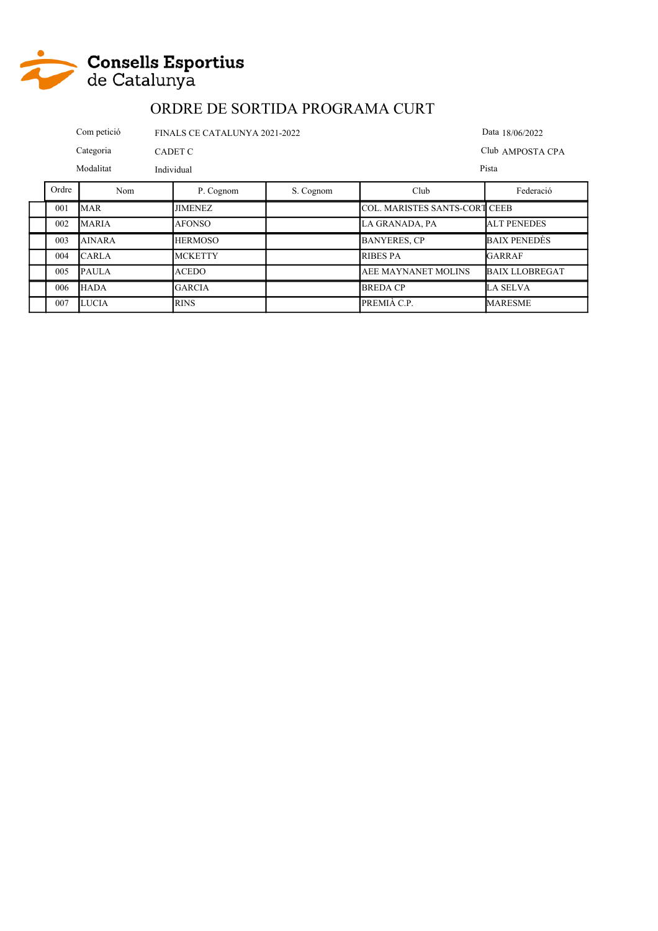

|           | Com petició<br>FINALS CE CATALUNYA 2021-2022 |            |                |                  |                                      | Data 18/06/2022 |
|-----------|----------------------------------------------|------------|----------------|------------------|--------------------------------------|-----------------|
|           | Categoria<br>CADET C                         |            |                | Club AMPOSTA CPA |                                      |                 |
| Modalitat |                                              | Individual |                |                  | Pista                                |                 |
| Ordre     | Nom                                          |            | P. Cognom      | S. Cognom        | Club                                 | Federació       |
| 001       | <b>MAR</b>                                   |            | <b>JIMENEZ</b> |                  | <b>COL. MARISTES SANTS-CORT CEEB</b> |                 |

| 001 | <b>MAR</b>    | <b>JIMENEZ</b> | COL. MARISTES SANTS-CORT CEEB |                       |
|-----|---------------|----------------|-------------------------------|-----------------------|
| 002 | <b>MARIA</b>  | <b>AFONSO</b>  | LA GRANADA. PA                | <b>ALT PENEDES</b>    |
| 003 | <b>AINARA</b> | <b>HERMOSO</b> | <b>BANYERES, CP</b>           | <b>BAIX PENEDES</b>   |
| 004 | <b>CARLA</b>  | <b>MCKETTY</b> | <b>RIBES PA</b>               | GARRAF                |
| 005 | <b>PAULA</b>  | <b>ACEDO</b>   | <b>AEE MAYNANET MOLINS</b>    | <b>BAIX LLOBREGAT</b> |
| 006 | <b>HADA</b>   | <b>GARCIA</b>  | <b>BREDA CP</b>               | LA SELVA              |
| 007 | <b>LUCIA</b>  | <b>RINS</b>    | PREMIÀ C.P.                   | <b>MARESME</b>        |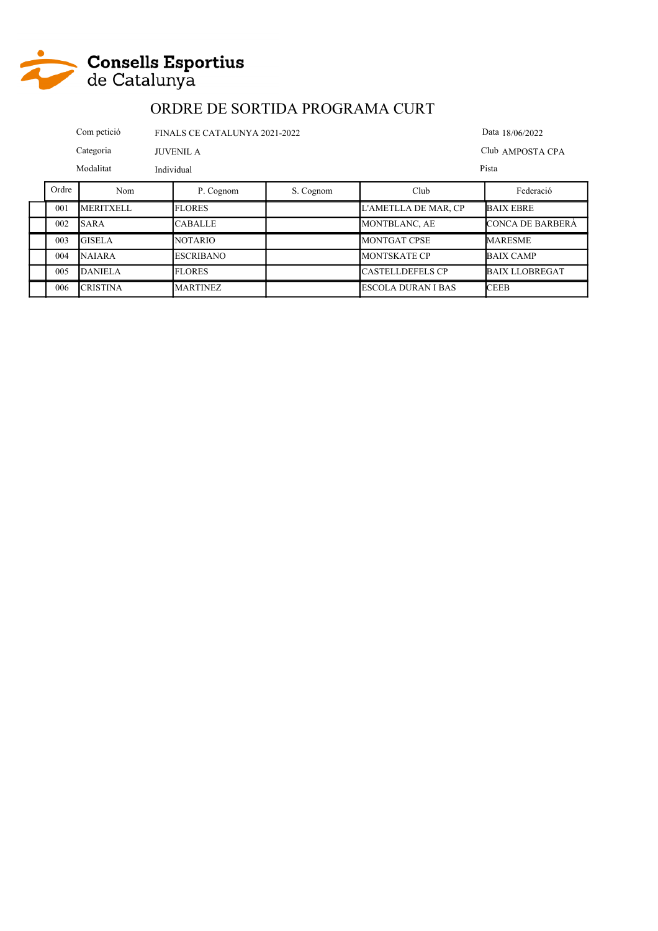

|                               | Com petició<br>FINALS CE CATALUNYA 2021-2022 |            |                |           |                            | Data 18/06/2022  |
|-------------------------------|----------------------------------------------|------------|----------------|-----------|----------------------------|------------------|
| Categoria<br><b>JUVENIL A</b> |                                              |            |                |           |                            | Club AMPOSTA CPA |
| Modalitat                     |                                              | Individual |                |           |                            | Pista            |
| Ordre                         | Nom                                          |            | P. Cognom      | S. Cognom | Club                       | Federació        |
| 001                           | <b>MERITYFI I</b>                            |            | <b>FI ORES</b> |           | <b>I'AMETH A DE MAR CP</b> | <b>RAIX FRRE</b> |

| 001 | <b>MERITXELL</b> | <b>FLORES</b>    | L'AMETLLA DE MAR. CP      | <b>BAIX EBRE</b>        |
|-----|------------------|------------------|---------------------------|-------------------------|
| 002 | <b>SARA</b>      | <b>CABALLE</b>   | MONTBLANC, AE             | <b>CONCA DE BARBERA</b> |
| 003 | <b>GISELA</b>    | <b>NOTARIO</b>   | MONTGAT CPSE              | <b>MARESME</b>          |
| 004 | <b>NAJARA</b>    | <b>ESCRIBANO</b> | <b>MONTSKATE CP</b>       | <b>BAIX CAMP</b>        |
| 005 | <b>DANIELA</b>   | <b>FLORES</b>    | <b>CASTELLDEFELS CP</b>   | <b>BAIX LLOBREGAT</b>   |
| 006 | <b>CRISTINA</b>  | <b>MARTINEZ</b>  | <b>ESCOLA DURAN I BAS</b> | <b>CEEB</b>             |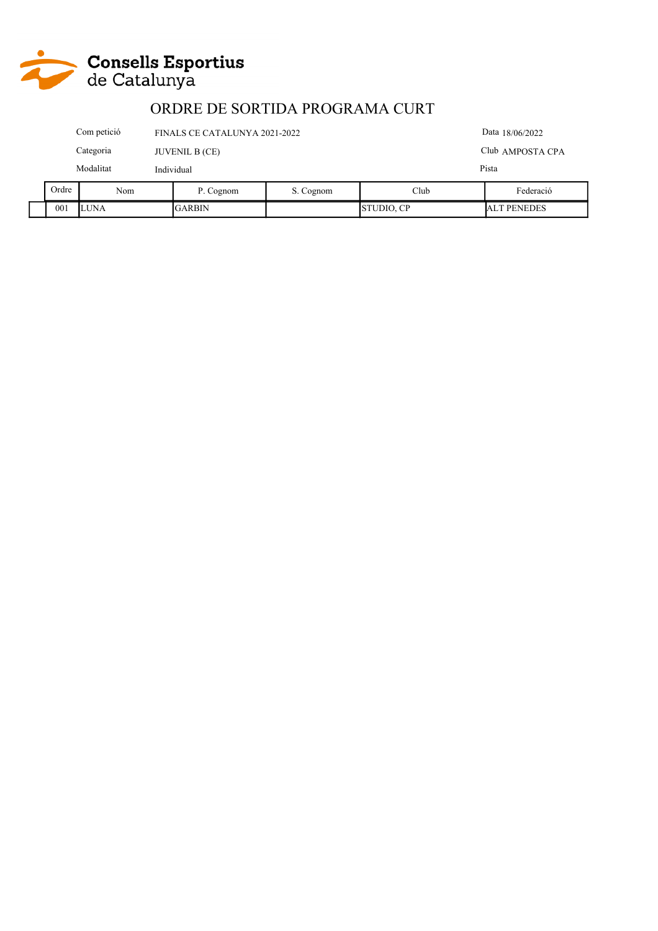

| $\lambda_{\mathbf{r}\alpha}$ | $\mathbf{M}$ =          |                                                  | $\mathbf{D}$ $\mathbf{C}$ = = = = = = | $C$ $C$ - $\cdots$ - $\cdots$ | $\sim$ 11. | 17.1114          |
|------------------------------|-------------------------|--------------------------------------------------|---------------------------------------|-------------------------------|------------|------------------|
|                              | Modalitat<br>Individual |                                                  |                                       |                               |            | Pista            |
|                              | Categoria               |                                                  | <b>JUVENIL B (CE)</b>                 |                               |            | Club AMPOSTA CPA |
|                              | Com petició             | Data 18/06/2022<br>FINALS CE CATALUNYA 2021-2022 |                                       |                               |            |                  |

|  | Ordre | $\mathbf{v}$<br>Nom | $\mathbf{r}$<br>Cognom | Cognom<br>ັ. | Club                    | $\sim$<br>Federació    |
|--|-------|---------------------|------------------------|--------------|-------------------------|------------------------|
|  | 001   | <b>LUNA</b>         | <b>GARBIN</b>          |              | $\cap$ n<br>TUDIO,<br>◡ | <b>PENEDES</b><br>-lal |